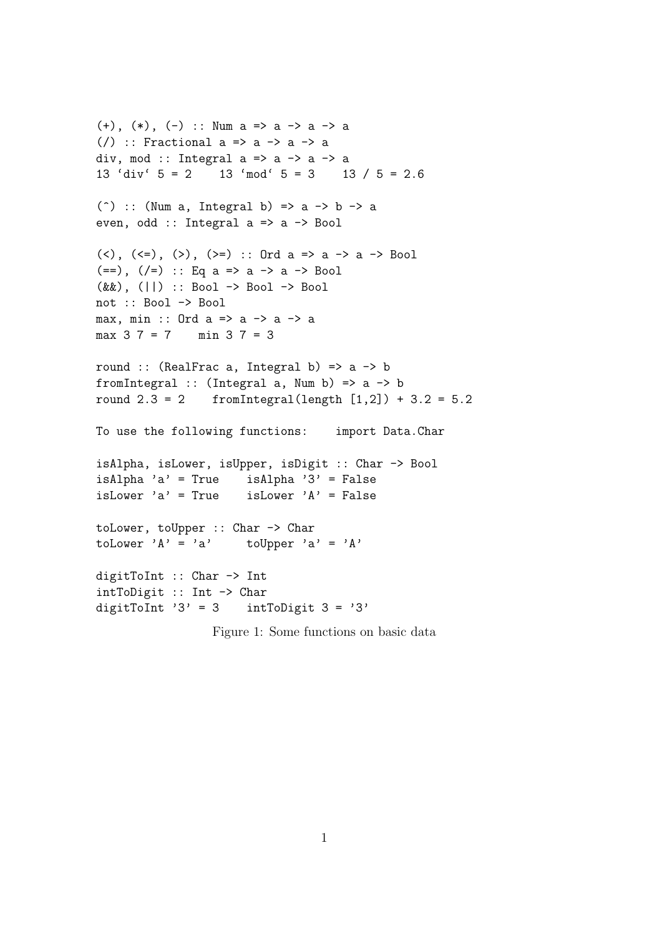```
(+), (*), (-) :: Num a => a -> a -> a
(/) :: Fractional a => a -> a -> a
div, mod :: Integral a \Rightarrow a \Rightarrow a \Rightarrow a13 'div' 5 = 2 13 'mod' 5 = 3 13 / 5 = 2.6(\hat{ }) :: (Num a, Integral b) => a -> b -> a
even, odd :: Integral a => a -> Bool
(\langle \rangle, (\langle =), (\rangle), (\rangle =): Ord a => a -> a -> Bool
(==), (/-) :: Eq a => a -> a -> Bool
(&&), (||) :: Bool -> Bool -> Bool
not :: Bool -> Bool
max, min :: Ord a => a -> a -> a
max 37 = 7 min 37 = 3round :: (RealFrac a, Integral b) => a \rightarrow bfromIntegral :: (Integral a, Num b) => a -> b
round 2.3 = 2 fromIntegral(length [1,2]) + 3.2 = 5.2
To use the following functions: import Data.Char
isAlpha, isLower, isUpper, isDigit :: Char -> Bool
isAlpha 'a' = True isAlpha '3' = False
isLower 'a' = True isLower 'A' = False
toLower, toUpper :: Char -> Char
toLower 'A' = 'a' toUpper 'a' = 'A'
digitToInt :: Char -> Int
intToDigit :: Int -> Char
digitToInt '3' = 3 intToDigit 3 = '3'
```

```
Figure 1: Some functions on basic data
```